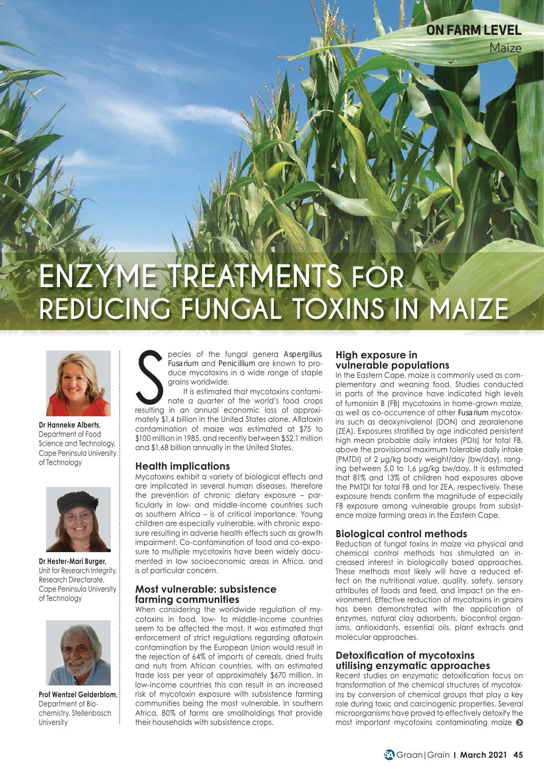# **ENZYME TREATMENTS FOR REDUCING FUNGAL TOXINS IN MAIZE**



**Dr Hanneke Alberts,** Department of Food Science and Technology, Cape Peninsula University of Technology



**Dr Hester-Mari Burger,**  Unit for Research Integrity, Research Directorate, Cape Peninsula University of Technology



**Prof Wentzel Gelderblom,**  Department of Biochemistry, Stellenbosch **University** 

pecies of the fungal genera Aspergillus,<br>Fusarium and Penicillium are known to pro-<br>duce mycotoxins in a wide range of staple<br>grains worldwide.<br>It is estimated that mycotoxins contami-<br>nate a quarter of the world's food cr pecies of the fungal genera *Aspergillus*, *Fusarium* and *Penicillium* are known to produce mycotoxins in a wide range of staple grains worldwide.

It is estimated that mycotoxins contaminate a quarter of the world's food crops mately \$1,4 billion in the United States alone. Aflatoxin contamination of maize was estimated at \$75 to \$100 million in 1985, and recently between \$52,1 million and \$1,68 billion annually in the United States.

#### **Health implications**

Mycotoxins exhibit a variety of biological effects and are implicated in several human diseases, therefore the prevention of chronic dietary exposure – particularly in low- and middle-income countries such as southern Africa – is of critical importance. Young children are especially vulnerable, with chronic exposure resulting in adverse health effects such as growth impairment. Co-contamination of food and co-exposure to multiple mycotoxins have been widely documented in low socioeconomic areas in Africa, and is of particular concern.

#### **Most vulnerable: subsistence farming communities**

When considering the worldwide regulation of mycotoxins in food, low- to middle-income countries seem to be affected the most. It was estimated that enforcement of strict regulations regarding aflatoxin contamination by the European Union would result in the rejection of 64% of imports of cereals, dried fruits and nuts from African countries, with an estimated trade loss per year of approximately \$670 million. In low-income countries this can result in an increased risk of mycotoxin exposure with subsistence farming communities being the most vulnerable. In southern Africa, 80% of farms are smallholdings that provide their households with subsistence crops.

#### **High exposure in vulnerable populations**

In the Eastern Cape, maize is commonly used as complementary and weaning food. Studies conducted in parts of the province have indicated high levels of fumonisin B (FB) mycotoxins in home-grown maize, as well as co-occurrence of other *Fusarium* mycotoxins such as deoxynivalenol (DON) and zearalenone (ZEA). Exposures stratified by age indicated persistent high mean probable daily intakes (PDIs) for total FB, above the provisional maximum tolerable daily intake (PMTDI) of 2 μg/kg body weight/day (bw/day), ranging between 5,0 to 1,6 μg/kg bw/day. It is estimated that 81% and 13% of children had exposures above the PMTDI for total FB and for ZEA, respectively. These exposure trends confirm the magnitude of especially FB exposure among vulnerable groups from subsistence maize farming areas in the Eastern Cape.

Maize

**ON FARM LEVEL**

### **Biological control methods**

Reduction of fungal toxins in maize via physical and chemical control methods has stimulated an increased interest in biologically based approaches. These methods most likely will have a reduced effect on the nutritional value, quality, safety, sensory attributes of foods and feed, and impact on the environment. Effective reduction of mycotoxins in grains has been demonstrated with the application of enzymes, natural clay adsorbents, biocontrol organisms, antioxidants, essential oils, plant extracts and molecular approaches.

#### **Detoxification of mycotoxins utilising enzymatic approaches**

Recent studies on enzymatic detoxification focus on transformation of the chemical structures of mycotoxins by conversion of chemical groups that play a key role during toxic and carcinogenic properties. Several microorganisms have proved to effectively detoxify the most important mycotoxins contaminating maize <sup>o</sup>

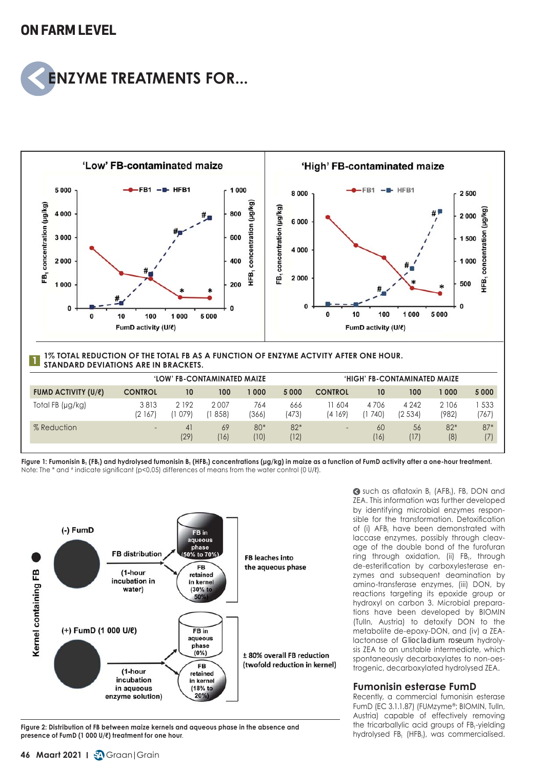## **ON FARM LEVEL**





Figure 1: Fumonisin B<sub>1</sub> (FB<sub>1</sub>) and hydrolysed fumonisin B<sub>1</sub> (HFB<sub>1</sub>) concentrations (μg/kg) in maize as a function of FumD activity after a one-hour treatment. Note: The \* and # indicate significant (p<0,05) differences of means from the water control (0 U/ℓ).



**Figure 2: Distribution of FB between maize kernels and aqueous phase in the absence and presence of FumD (1 000 U/ℓ) treatment for one hour**.

Such as aflatoxin B<sub>1</sub> (AFB<sub>1</sub>), FB, DON and ZEA. This information was further developed by identifying microbial enzymes responsible for the transformation. Detoxification of (i) AFB<sub>1</sub> have been demonstrated with laccase enzymes, possibly through cleavage of the double bond of the furofuran ring through oxidation, (ii) FB<sub>1</sub>, through de-esterification by carboxylesterase enzymes and subsequent deamination by amino-transferase enzymes, (iii) DON, by reactions targeting its epoxide group or hydroxyl on carbon 3. Microbial preparations have been developed by BIOMIN (Tulln, Austria) to detoxify DON to the metabolite de-epoxy-DON, and (iv) a ZEAlactonase of *Gliocladium roseum* hydrolysis ZEA to an unstable intermediate, which spontaneously decarboxylates to non-oestrogenic, decarboxylated hydrolysed ZEA.

### **Fumonisin esterase FumD**

Recently, a commercial fumonisin esterase FumD (EC 3.1.1.87) (FUMzyme®; BIOMIN, Tulln, Austria) capable of effectively removing the tricarballylic acid groups of FB<sub>1</sub>-yielding hydrolysed FB<sub>1</sub> (HFB<sub>1</sub>), was commercialised.